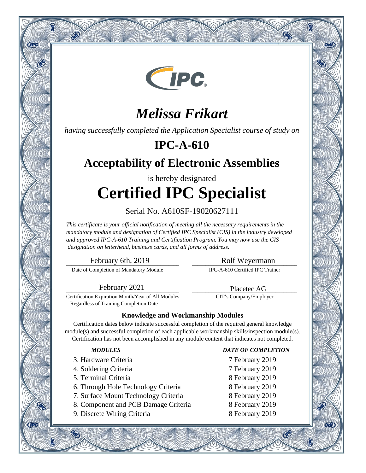

# *Melissa Frikart*

*having successfully completed the Application Specialist course of study on*

## **IPC-A-610**

## **Acceptability of Electronic Assemblies**

is hereby designated **Certified IPC Specialist**

Serial No. A610SF-19020627111

*This certificate is your official notification of meeting all the necessary requirements in the mandatory module and designation of Certified IPC Specialist (CIS) in the industry developed and approved IPC-A-610 Training and Certification Program. You may now use the CIS designation on letterhead, business cards, and all forms of address.*

\_\_\_\_\_\_\_\_\_\_\_\_\_\_\_\_\_\_\_\_\_\_\_\_\_\_\_\_\_\_\_\_\_\_\_\_\_\_\_\_\_\_ February 6th, 2019

Q

**CIPC** 

**CIPC** 

 $\hat{\infty}$ 

Date of Completion of Mandatory Module

\_\_\_\_\_\_\_\_\_\_\_\_\_\_\_\_\_\_\_\_\_\_\_\_\_\_\_\_\_\_\_\_\_\_\_\_\_\_\_ Rolf Weyermann

Q

oan

9वारे

®

IPC-A-610 Certified IPC Trainer

\_\_\_\_\_\_\_\_\_\_\_\_\_\_\_\_\_\_\_\_\_\_\_\_\_\_\_\_\_\_\_\_\_\_\_\_\_\_\_ Placetec AG CIT's Company/Employer

\_\_\_\_\_\_\_\_\_\_\_\_\_\_\_\_\_\_\_\_\_\_\_\_\_\_\_\_\_\_\_\_\_\_\_\_\_\_\_\_\_\_ February 2021

Certification Expiration Month/Year of All Modules Regardless of Training Completion Date

### **Knowledge and Workmanship Modules**

Certification dates below indicate successful completion of the required general knowledge module(s) and successful completion of each applicable workmanship skills/inspection module(s). Certification has not been accomplished in any module content that indicates not completed.

- 3. Hardware Criteria 7 February 2019
- 4. Soldering Criteria 7 February 2019
- 5. Terminal Criteria 8 February 2019
- 6. Through Hole Technology Criteria 8 February 2019
- 7. Surface Mount Technology Criteria 8 February 2019
- 8. Component and PCB Damage Criteria 8 February 2019
- 9. Discrete Wiring Criteria 8 February 2019

### *MODULES DATE OF COMPLETION*

- 
- 
- 
- 
- 
- 
- 

 $\mathcal{C}$